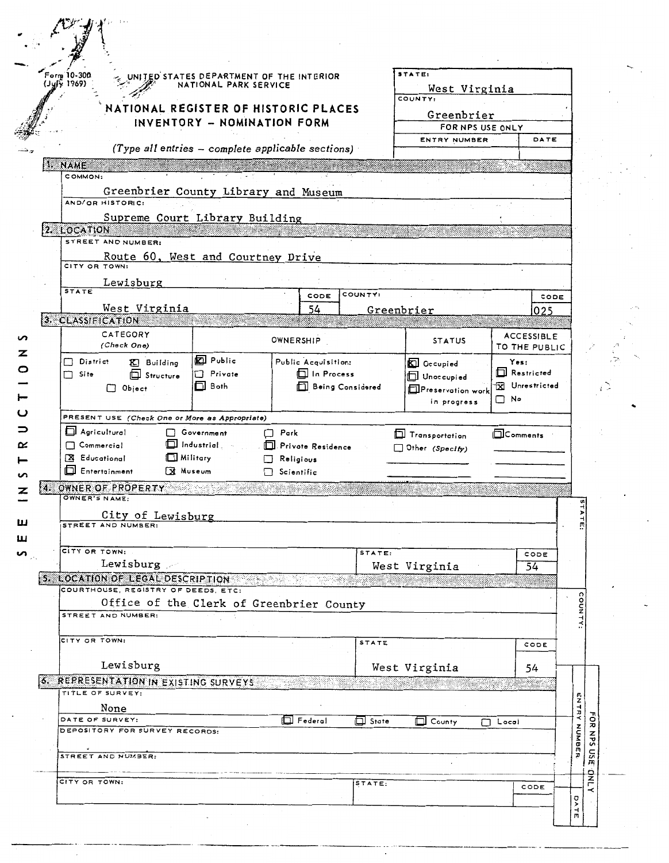| Form 10-300<br>$(1y/\hat{y} 1969)$                               | UNITED STATES DEPARTMENT OF THE INTERIOR<br>NATIONAL PARK SERVICE |                                                     |              | STATE:                                   |                              |                                    |
|------------------------------------------------------------------|-------------------------------------------------------------------|-----------------------------------------------------|--------------|------------------------------------------|------------------------------|------------------------------------|
|                                                                  |                                                                   |                                                     |              | West Virginia<br>COUNTY:                 |                              |                                    |
|                                                                  |                                                                   | NATIONAL REGISTER OF HISTORIC PLACES                |              | Greenbrier                               |                              |                                    |
|                                                                  | INVENTORY - NOMINATION FORM                                       |                                                     |              | FOR NPS USE ONLY                         |                              |                                    |
|                                                                  |                                                                   | (Type all entries $-$ complete applicable sections) |              | ENTRY NUMBER                             |                              | DATE                               |
| 1. NAME                                                          |                                                                   |                                                     |              |                                          |                              |                                    |
| COMMON:<br>Greenbrier County Library and Museum                  |                                                                   |                                                     |              |                                          |                              |                                    |
| AND/OR HISTORIC:                                                 |                                                                   |                                                     |              |                                          |                              |                                    |
| Supreme Court Library Building<br>2. LOCATION                    |                                                                   |                                                     |              |                                          |                              |                                    |
| STREET AND NUMBER:                                               |                                                                   |                                                     |              |                                          |                              |                                    |
| Route 60, West and Courtney Drive                                |                                                                   |                                                     |              |                                          |                              |                                    |
| CITY OR TOWN:                                                    |                                                                   |                                                     |              |                                          |                              |                                    |
| Lewisburg<br><b>STATE</b>                                        |                                                                   | CODE                                                | COUNTY:      |                                          |                              | CODE                               |
| West Virginia                                                    |                                                                   | 54                                                  |              | Greenbrier                               |                              | 025                                |
| 3. CLASSIFICATION                                                |                                                                   |                                                     |              |                                          |                              |                                    |
| CATEGORY<br>(Check One)                                          |                                                                   | OWNERSHIP                                           |              | <b>STATUS</b>                            |                              | <b>ACCESSIBLE</b><br>TO THE PUBLIC |
| $\Box$ District<br><b>K.</b> Building                            | <b>KI</b> Public                                                  | Public Acquisition:                                 |              | <b>Decupied</b>                          | Yes:<br><b>El Restricted</b> |                                    |
| Site<br><b>EL</b> Structure<br>П<br>$\Box$ Object                | Private<br>□.<br>$\Box$ Both                                      | <b>In Process</b><br><b>Example 2</b> Considered    |              | Unoccupied                               |                              | <b>X</b> Unrestricted              |
|                                                                  |                                                                   |                                                     |              | Preservation work<br>in progress         | $\Box$ No                    |                                    |
| PRESENT USE (Check One or More as Appropriate)                   |                                                                   |                                                     |              |                                          |                              |                                    |
|                                                                  |                                                                   |                                                     |              |                                          |                              |                                    |
| Agricultural                                                     | Government                                                        | $\Box$ Park                                         |              |                                          |                              |                                    |
| $\Box$ Commercial                                                | $\Box$ Industrial                                                 | Privote Residence                                   |              | Transportation<br>$\Box$ Other (Specify) | <b>ELComments</b>            |                                    |
| X Educational                                                    | Military                                                          | Religious                                           |              |                                          |                              |                                    |
| Entertainment                                                    | <b>X</b> Museum                                                   | Scientific                                          |              |                                          |                              |                                    |
| 4. OWNER OF PROPERTY<br>OWNER'S NAME:                            |                                                                   |                                                     |              |                                          |                              |                                    |
|                                                                  |                                                                   |                                                     |              |                                          |                              |                                    |
| City of Lewisburg<br>STREET AND NUMBER:                          |                                                                   |                                                     |              |                                          |                              |                                    |
| CITY OR TOWN:                                                    |                                                                   |                                                     |              |                                          |                              |                                    |
| Lewisburg 20                                                     |                                                                   |                                                     | STATE:       |                                          |                              | CODE                               |
| 5. LOCATION OF LEGAL DESCRIPTION AND ACCEPTED AND LOCATION       |                                                                   |                                                     |              | West Virginia                            |                              | 54                                 |
| COURTHOUSE, REGISTRY OF DEEDS, ETC:                              |                                                                   |                                                     |              |                                          |                              |                                    |
| Office of the Clerk of Greenbrier County<br>STREET AND NUMBER:   |                                                                   |                                                     |              |                                          |                              |                                    |
|                                                                  |                                                                   |                                                     |              |                                          |                              |                                    |
| CITY OR TOWN:                                                    |                                                                   |                                                     | <b>STATE</b> |                                          |                              | CODE                               |
|                                                                  |                                                                   |                                                     |              |                                          |                              |                                    |
| Lewisburg                                                        |                                                                   |                                                     |              | West Virginia                            |                              | 54                                 |
| <b>6. REPRESENTATION IN EXISTING SURVEYS</b><br>TITLE OF SURVEY: |                                                                   |                                                     |              |                                          |                              | essa m                             |
| None                                                             |                                                                   |                                                     |              |                                          |                              |                                    |
| DATE OF SURVEY:                                                  |                                                                   | <b>I</b> Federal                                    | $\Box$ State | $\Box$ County                            | $\Box$ Local                 |                                    |
| DEPOSITORY FOR SURVEY RECORDS:                                   |                                                                   |                                                     |              |                                          |                              |                                    |
| STREET AND NUMBER:                                               |                                                                   |                                                     |              |                                          |                              |                                    |
|                                                                  |                                                                   |                                                     |              |                                          |                              |                                    |
| CITY OR TOWN:                                                    |                                                                   |                                                     | STATE:       |                                          |                              | CODE                               |

 $\ddot{\phantom{a}}$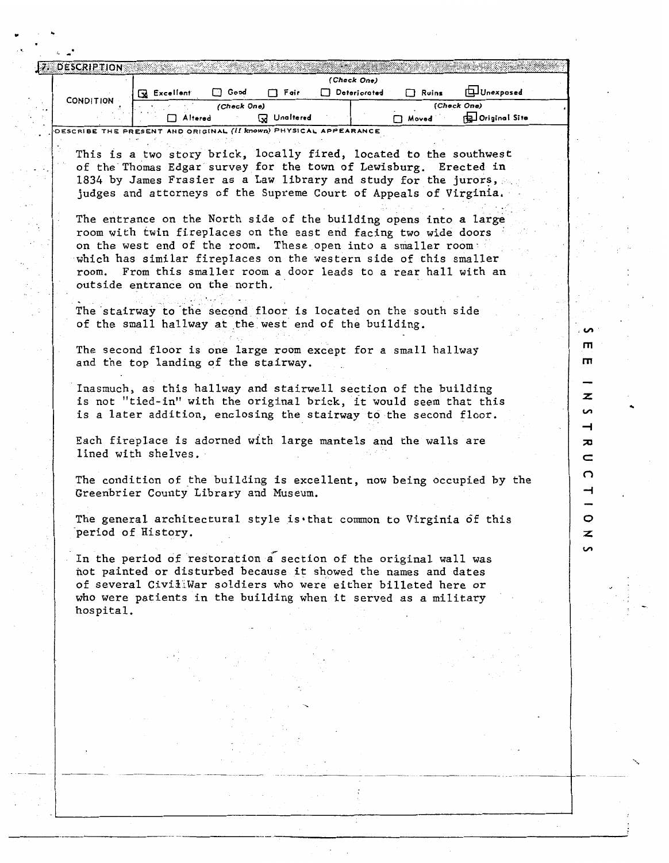|           | 7. DESCRIPTION                                                   |                |             |                 |              |       |                          |  |  |
|-----------|------------------------------------------------------------------|----------------|-------------|-----------------|--------------|-------|--------------------------|--|--|
|           |                                                                  |                |             |                 | (Check One)  |       |                          |  |  |
|           |                                                                  | Excellent<br>3 | Good        | Fair            | Deteriorated | Ruins | <b>ILL</b> Unexposed     |  |  |
| $\cdot$ . | <b>CONDITION</b>                                                 |                | (Check One) |                 |              |       | (Check One)              |  |  |
|           |                                                                  | Altered        |             | Unaltered<br>lм |              | Moved | <b>Bul Original Site</b> |  |  |
|           | DESCRIBE THE PRESENT AND ORIGINAL (II known) PHYSICAL APPEARANCE |                |             |                 |              |       |                          |  |  |

This is a two story brick, locally fired, located to the southwest of the Thomas Edgar survey for the town of Lewisburg. Erected in 1834 by James Frasier as a Law library and study for the jurors, judges and attorneys of the Supreme Court of Appeals of Virginia.

The entrance on the North side of the building opens into a large room with twin fireplaces on the east end facing two wide doors on the west end of the room. These open into a smaller room. which has similar fireplaces on the western side of this smaller room. From this smaller room a door leads to a rear hall with an outside entrance on the north.

> $\overline{a}$ m m

z ς,  $\overline{\phantom{0}}$  $\overline{a}$  $\equiv$  $\Omega$  $\rightarrow$ 

O z  $\sim$ 

The stairway to the second floor is located on the south side of the small hallway at the west end of the building.

The second floor is one large room except for a small hallway and the top landing of the stairway.

Inasmuch, as this hallway and stairwell section of the building is not "tied-in" with the original brick, it would seem that this is a later addition, enclosing the stairway to the second floor.

Each fireplace is adorned with large mantels and the walls are lined with shelves.

The condition of the building is excellent, now being occupied by the Greenbrier County Library and Museum.

The general architectural style is that common to Virginia of this period of History.

In the period of restoration a section of the original wall was not painted or disturbed because it showed the names and dates of several CiviiiWar soldiers who were either billeted here or who were patients in the building when it served as a military hospital.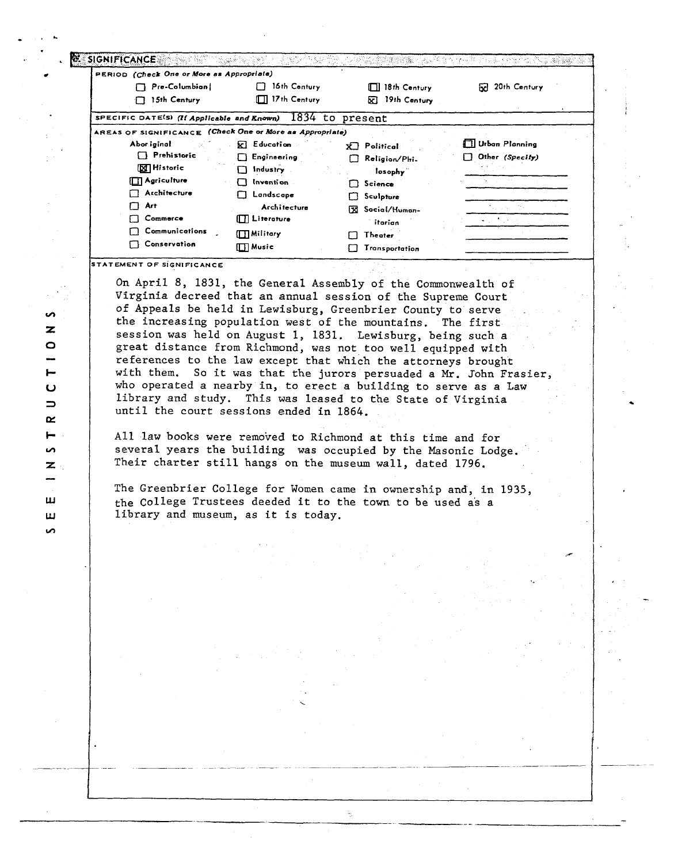| Pre-Columbian                                            | 16th Century           | $\Box$ 18th Century  | 20th Century<br>ы     |
|----------------------------------------------------------|------------------------|----------------------|-----------------------|
| 15th Century                                             | $\Box$ 17th Century    | 19th Century<br>⊠    |                       |
| SPECIFIC DATE(S) (If Applicable and Known)               |                        | 1834 to present      |                       |
| AREAS OF SIGNIFICANCE (Check One or More as Appropriate) |                        |                      |                       |
| Abor iginal                                              | <b>因 Education</b>     | Political<br>xП.     | $\Box$ Urban Planning |
| $\Box$ Prehistoric                                       | Engineering<br>U.      | Religion/Phi.        | Other (Specify)       |
| <b>X</b> Historic                                        | $\Box$ Industry        | losophy              |                       |
| $\Box$ Agriculture                                       | Invention<br>Π         | $\Box$ Science       |                       |
| Architecture                                             | <b>Explored Script</b> | Sculpture<br>Гł      |                       |
| Art<br>Π                                                 | Architecture           | Social/Human-<br>Гxі |                       |
| Commerce                                                 | $\Box$ Literature      | itarian.             |                       |
| Communications                                           | $\Box$ Military        | <b>Theater</b><br>Гł |                       |
| <b>Conservation</b>                                      | $\Box$ Music           | Transportation       |                       |

On April 8, 1831, the General Assembly of the Commonwealth of Virginia decreed that an annual session of the Supreme Court of Appeals be held in Lewisburg, Greenbrier County to serve the increasing population west of the mountains. The first session was held on August 1, 1831. Lewisburg, being such a great distance from Richmond, was not too well equipped with references to the law except that which the attorneys brought with them. So it was that the jurors persuaded a Mr. John Frasier, who operated a nearby in, to erect a building to serve as a Law library and study. This was leased to the State of Virginia until the court sessions ended in 1864.

All law books were removed to Richmond at this time and for several years the building was occupied by the Masonic Lodge. Their charter still hangs on the museum wall, dated 1796.

The Greenbrier College for Women came in ownership and, in 1935, the College Trustees deeded it to the town to be used as a library and museum, as it is today.

ę.

**i**  $\overline{z}$  $\bullet$ سا  $\overline{U}$  $\Rightarrow$  $\alpha$  $\vdash$  $\mathbf{v}$  $\mathbf{z}$ ш ш  $\mathbf{v}$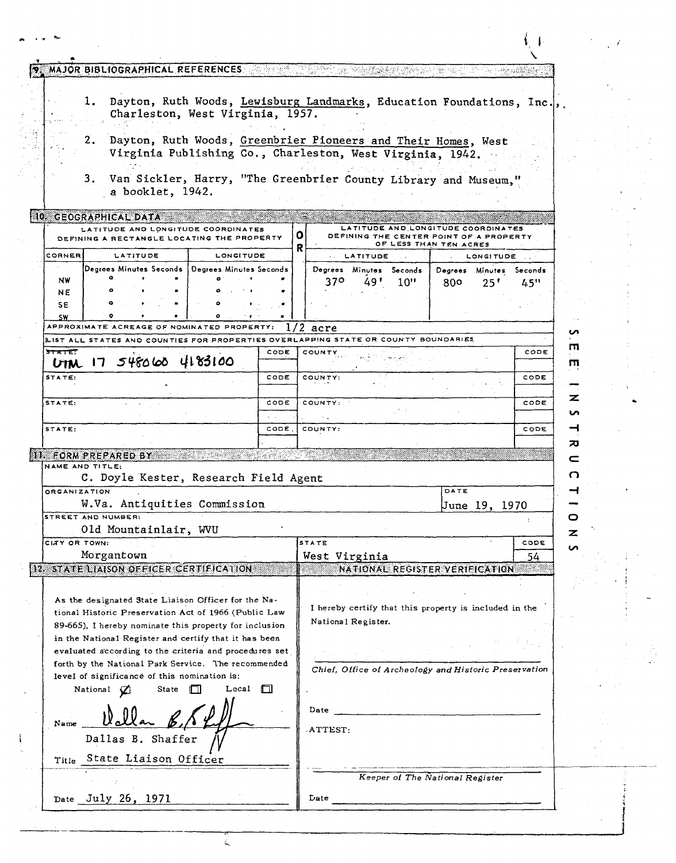|                                                                                                                                                                         | MAJOR BIBLIOGRAPHICAL REFERENCES DESCRIPTION OF THE SECOND TO A PRODUCE A REPORT OF THE SECOND SECOND SECOND S |                 |                    |                                                                                                                            |                                       |                |  |
|-------------------------------------------------------------------------------------------------------------------------------------------------------------------------|----------------------------------------------------------------------------------------------------------------|-----------------|--------------------|----------------------------------------------------------------------------------------------------------------------------|---------------------------------------|----------------|--|
|                                                                                                                                                                         |                                                                                                                |                 |                    |                                                                                                                            |                                       |                |  |
|                                                                                                                                                                         | ı.<br>Charleston, West Virginia, 1957.                                                                         |                 |                    | Dayton, Ruth Woods, Lewisburg Landmarks, Education Foundations, Inc.,                                                      |                                       |                |  |
|                                                                                                                                                                         | 2.                                                                                                             |                 |                    | Dayton, Ruth Woods, Greenbrier Pioneers and Their Homes, West<br>Virginia Publishing Co., Charleston, West Virginia, 1942. |                                       |                |  |
|                                                                                                                                                                         | з.<br>a booklet, 1942.                                                                                         |                 |                    | Van Sickler, Harry, "The Greenbrier County Library and Museum,"                                                            |                                       |                |  |
|                                                                                                                                                                         | 10 GEOGRAPHICAL DATA                                                                                           |                 |                    |                                                                                                                            |                                       |                |  |
|                                                                                                                                                                         | LATITUDE AND LONGITUDE COORDINATES<br>DEFINING A RECTANGLE LOCATING THE PROPERTY                               |                 | o                  | LATITUDE AND LONGITUDE COORDINATES<br>DEFINING THE CENTER POINT OF A PROPERTY                                              |                                       |                |  |
| CORNER                                                                                                                                                                  | LATITUDE                                                                                                       | LONGITUDE       |                    |                                                                                                                            | OF LESS THAN TEN ACRES<br>LONGITUDE . |                |  |
|                                                                                                                                                                         | Degrees Minutes Seconds   Degrees Minutes Seconds                                                              |                 |                    | <b>LATITUDE</b><br>Degrees Minutes Seconds                                                                                 | Degrees Minutes Seconds               |                |  |
| NW<br>NE                                                                                                                                                                |                                                                                                                |                 |                    | 370.<br>10"<br>49 '                                                                                                        | 800<br>$25^{\prime}$                  | 45"            |  |
| SΕ<br>SW                                                                                                                                                                |                                                                                                                |                 |                    |                                                                                                                            |                                       |                |  |
|                                                                                                                                                                         | APPROXIMATE ACREAGE OF NOMINATED PROPERTY;                                                                     |                 |                    | acre                                                                                                                       |                                       | u              |  |
|                                                                                                                                                                         | LIST ALL STATES AND COUNTIES FOR PROPERTIES OVERLAPPING STATE OR COUNTY BOUNDARIES                             |                 |                    |                                                                                                                            |                                       | m              |  |
| 5TATE                                                                                                                                                                   | UTM 17 548060 4183100                                                                                          | CODE            |                    | COUNTY                                                                                                                     |                                       | CODE<br>កា     |  |
| STATE:                                                                                                                                                                  |                                                                                                                | CODE            |                    | COUNTY:                                                                                                                    |                                       | CODE           |  |
| STATE:                                                                                                                                                                  |                                                                                                                | CODE            |                    | COUNTY:                                                                                                                    |                                       | z<br>CODE<br>n |  |
| STATE:                                                                                                                                                                  |                                                                                                                | CODE.           |                    | COUNTY:                                                                                                                    |                                       | ⊣<br>CODE      |  |
|                                                                                                                                                                         |                                                                                                                |                 |                    |                                                                                                                            |                                       | ᄁ              |  |
| NAME AND TITLE:                                                                                                                                                         | II. FORM PREPARED BY                                                                                           |                 |                    |                                                                                                                            |                                       | c              |  |
|                                                                                                                                                                         | C. Doyle Kester, Research Field Agent                                                                          |                 |                    |                                                                                                                            |                                       | O              |  |
| <b>ORGANIZATION</b>                                                                                                                                                     |                                                                                                                |                 |                    |                                                                                                                            | DATE                                  |                |  |
|                                                                                                                                                                         | W.Va. Antiquities Commission                                                                                   |                 |                    |                                                                                                                            | lJune 19.                             | - 1970         |  |
|                                                                                                                                                                         | STREET AND NUMBER:<br>Old Mountainlair, WVU                                                                    |                 |                    |                                                                                                                            |                                       | O              |  |
| CITY OR TOWN:                                                                                                                                                           |                                                                                                                |                 |                    | STATE                                                                                                                      |                                       | z<br>CODE      |  |
|                                                                                                                                                                         | Morgantown                                                                                                     |                 |                    | West Virginia                                                                                                              |                                       | u<br>54        |  |
|                                                                                                                                                                         | 12 STATE LIAISON OFFICER CERTIFICATION                                                                         |                 |                    | NATIONAL REGISTER VERIFICATION                                                                                             |                                       |                |  |
|                                                                                                                                                                         | As the designated State Liaison Officer for the Na-                                                            |                 |                    | I hereby certify that this property is included in the                                                                     |                                       |                |  |
| tional Historic Preservation Act of 1966 (Public Law<br>89-665), I hereby nominate this property for inclusion<br>in the National Register and certify that it has been |                                                                                                                |                 | National Register. |                                                                                                                            |                                       |                |  |
|                                                                                                                                                                         | evaluated according to the criteria and procedures set                                                         |                 |                    |                                                                                                                            |                                       |                |  |
|                                                                                                                                                                         | forth by the National Park Service. The recommended                                                            |                 |                    | Chief, Office of Archeology and Historic Preservation                                                                      |                                       |                |  |
|                                                                                                                                                                         | level of significance of this nomination is:<br>National (7)<br><b>State</b>                                   | Local<br>$\Box$ |                    |                                                                                                                            |                                       |                |  |
| Name                                                                                                                                                                    |                                                                                                                |                 |                    | Date                                                                                                                       |                                       |                |  |
|                                                                                                                                                                         | Dallas B. Shaffer                                                                                              |                 |                    | ATTEST:                                                                                                                    |                                       |                |  |
|                                                                                                                                                                         |                                                                                                                |                 |                    |                                                                                                                            |                                       |                |  |
|                                                                                                                                                                         | Title State Liaison Officer                                                                                    |                 |                    |                                                                                                                            |                                       |                |  |
|                                                                                                                                                                         |                                                                                                                |                 |                    |                                                                                                                            | Keeper of The National Register       |                |  |
|                                                                                                                                                                         | Date July 26, 1971                                                                                             |                 |                    | Date                                                                                                                       |                                       |                |  |

 $\zeta$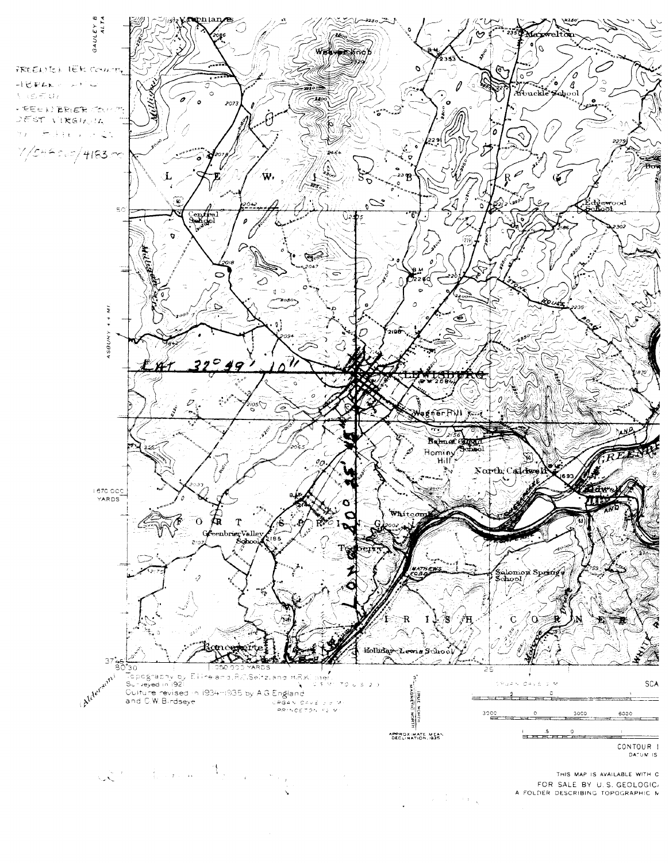